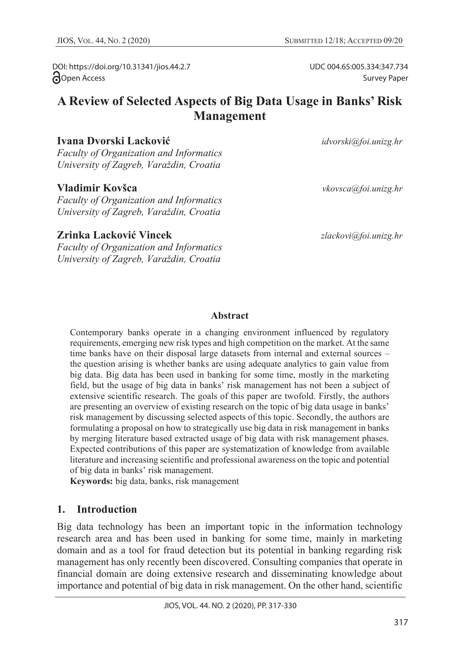UDC 004.65:005.334:347.734

Survey Paper

DOI: https://doi.org/10.31341/jios.44.2.7 open Access

# **A Review of Selected Aspects of Big Data Usage in Banks' Risk Management**

#### **Ivana Dvorski Lacković** *idvorski@foi.unizg.hr*

*Faculty of Organization and Informatics University of Zagreb, Varaždin, Croatia*

#### **Vladimir Kovšca** *vkovsca@foi.unizg.hr*

*Faculty of Organization and Informatics University of Zagreb, Varaždin, Croatia*

#### **Zrinka Lacković Vincek** *zlackovi@foi.unizg.hr*

*Faculty of Organization and Informatics University of Zagreb, Varaždin, Croatia*

#### **Abstract**

Contemporary banks operate in a changing environment influenced by regulatory requirements, emerging new risk types and high competition on the market. At the same time banks have on their disposal large datasets from internal and external sources – the question arising is whether banks are using adequate analytics to gain value from big data. Big data has been used in banking for some time, mostly in the marketing field, but the usage of big data in banks' risk management has not been a subject of extensive scientific research. The goals of this paper are twofold. Firstly, the authors are presenting an overview of existing research on the topic of big data usage in banks' risk management by discussing selected aspects of this topic. Secondly, the authors are formulating a proposal on how to strategically use big data in risk management in banks by merging literature based extracted usage of big data with risk management phases. Expected contributions of this paper are systematization of knowledge from available literature and increasing scientific and professional awareness on the topic and potential of big data in banks' risk management.

**Keywords:** big data, banks, risk management

#### **1. Introduction**

Big data technology has been an important topic in the information technology research area and has been used in banking for some time, mainly in marketing domain and as a tool for fraud detection but its potential in banking regarding risk management has only recently been discovered. Consulting companies that operate in financial domain are doing extensive research and disseminating knowledge about importance and potential of big data in risk management. On the other hand, scientific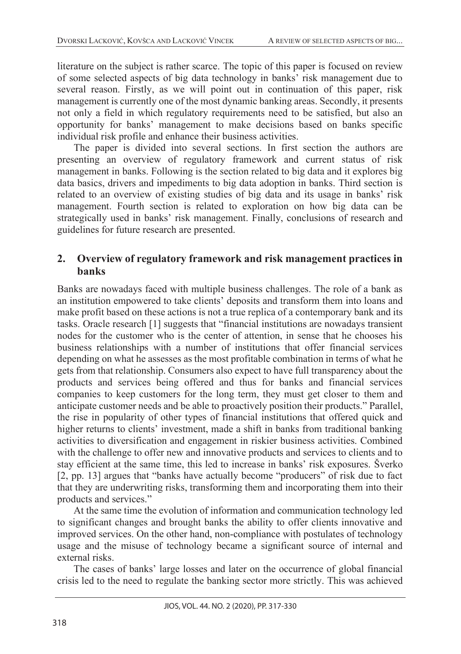literature on the subject is rather scarce. The topic of this paper is focused on review of some selected aspects of big data technology in banks' risk management due to several reason. Firstly, as we will point out in continuation of this paper, risk management is currently one of the most dynamic banking areas. Secondly, it presents not only a field in which regulatory requirements need to be satisfied, but also an opportunity for banks' management to make decisions based on banks specific individual risk profile and enhance their business activities.

The paper is divided into several sections. In first section the authors are presenting an overview of regulatory framework and current status of risk management in banks. Following is the section related to big data and it explores big data basics, drivers and impediments to big data adoption in banks. Third section is related to an overview of existing studies of big data and its usage in banks' risk management. Fourth section is related to exploration on how big data can be strategically used in banks' risk management. Finally, conclusions of research and guidelines for future research are presented.

## **2. Overview of regulatory framework and risk management practices in banks**

Banks are nowadays faced with multiple business challenges. The role of a bank as an institution empowered to take clients' deposits and transform them into loans and make profit based on these actions is not a true replica of a contemporary bank and its tasks. Oracle research [1] suggests that "financial institutions are nowadays transient nodes for the customer who is the center of attention, in sense that he chooses his business relationships with a number of institutions that offer financial services depending on what he assesses as the most profitable combination in terms of what he gets from that relationship. Consumers also expect to have full transparency about the products and services being offered and thus for banks and financial services companies to keep customers for the long term, they must get closer to them and anticipate customer needs and be able to proactively position their products." Parallel, the rise in popularity of other types of financial institutions that offered quick and higher returns to clients' investment, made a shift in banks from traditional banking activities to diversification and engagement in riskier business activities. Combined with the challenge to offer new and innovative products and services to clients and to stay efficient at the same time, this led to increase in banks' risk exposures. Šverko [2, pp. 13] argues that "banks have actually become "producers" of risk due to fact that they are underwriting risks, transforming them and incorporating them into their products and services."

At the same time the evolution of information and communication technology led to significant changes and brought banks the ability to offer clients innovative and improved services. On the other hand, non-compliance with postulates of technology usage and the misuse of technology became a significant source of internal and external risks.

The cases of banks' large losses and later on the occurrence of global financial crisis led to the need to regulate the banking sector more strictly. This was achieved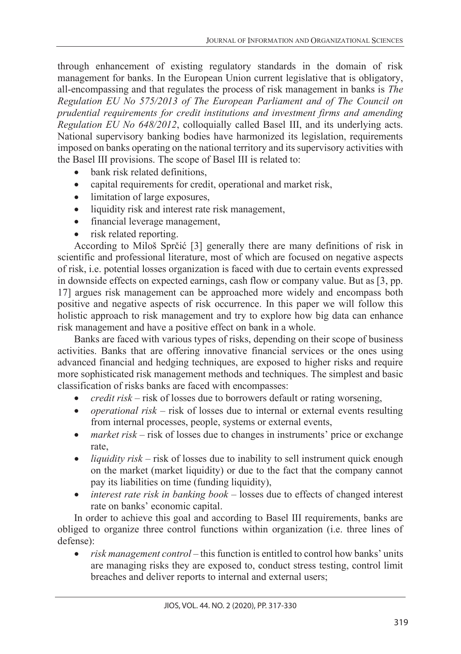through enhancement of existing regulatory standards in the domain of risk management for banks. In the European Union current legislative that is obligatory, all-encompassing and that regulates the process of risk management in banks is *The Regulation EU No 575/2013 of The European Parliament and of The Council on prudential requirements for credit institutions and investment firms and amending Regulation EU No 648/2012*, colloquially called Basel III, and its underlying acts. National supervisory banking bodies have harmonized its legislation, requirements imposed on banks operating on the national territory and its supervisory activities with the Basel III provisions. The scope of Basel III is related to:

- bank risk related definitions.
- capital requirements for credit, operational and market risk,
- limitation of large exposures,
- liquidity risk and interest rate risk management,
- financial leverage management,
- risk related reporting.

According to Miloš Sprčić [3] generally there are many definitions of risk in scientific and professional literature, most of which are focused on negative aspects of risk, i.e. potential losses organization is faced with due to certain events expressed in downside effects on expected earnings, cash flow or company value. But as [3, pp. 17] argues risk management can be approached more widely and encompass both positive and negative aspects of risk occurrence. In this paper we will follow this holistic approach to risk management and try to explore how big data can enhance risk management and have a positive effect on bank in a whole.

Banks are faced with various types of risks, depending on their scope of business activities. Banks that are offering innovative financial services or the ones using advanced financial and hedging techniques, are exposed to higher risks and require more sophisticated risk management methods and techniques. The simplest and basic classification of risks banks are faced with encompasses:

- *credit risk* risk of losses due to borrowers default or rating worsening,
- *operational risk* risk of losses due to internal or external events resulting from internal processes, people, systems or external events,
- *market risk* risk of losses due to changes in instruments' price or exchange rate,
- *liquidity risk* risk of losses due to inability to sell instrument quick enough on the market (market liquidity) or due to the fact that the company cannot pay its liabilities on time (funding liquidity),
- *interest rate risk in banking book* losses due to effects of changed interest rate on banks' economic capital.

In order to achieve this goal and according to Basel III requirements, banks are obliged to organize three control functions within organization (i.e. three lines of defense):

• *risk management control* – this function is entitled to control how banks' units are managing risks they are exposed to, conduct stress testing, control limit breaches and deliver reports to internal and external users;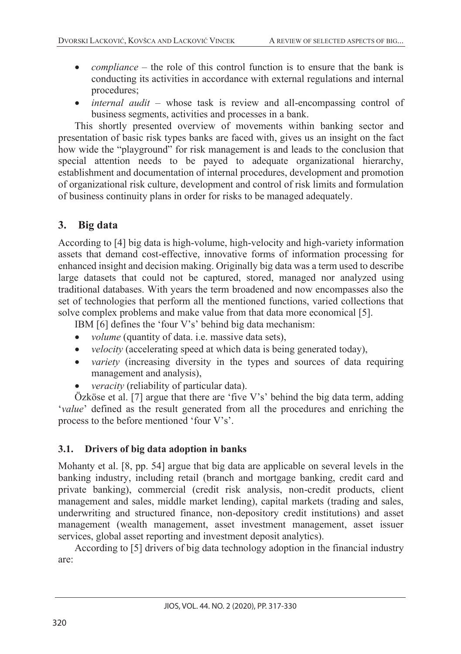- *compliance* the role of this control function is to ensure that the bank is conducting its activities in accordance with external regulations and internal procedures;
- internal audit whose task is review and all-encompassing control of business segments, activities and processes in a bank.

This shortly presented overview of movements within banking sector and presentation of basic risk types banks are faced with, gives us an insight on the fact how wide the "playground" for risk management is and leads to the conclusion that special attention needs to be payed to adequate organizational hierarchy, establishment and documentation of internal procedures, development and promotion of organizational risk culture, development and control of risk limits and formulation of business continuity plans in order for risks to be managed adequately.

## **3. Big data**

According to [4] big data is high-volume, high-velocity and high-variety information assets that demand cost-effective, innovative forms of information processing for enhanced insight and decision making. Originally big data was a term used to describe large datasets that could not be captured, stored, managed nor analyzed using traditional databases. With years the term broadened and now encompasses also the set of technologies that perform all the mentioned functions, varied collections that solve complex problems and make value from that data more economical [5].

IBM [6] defines the 'four V's' behind big data mechanism:

- *volume* (quantity of data. *i.e.* massive data sets),
- *velocity* (accelerating speed at which data is being generated today),
- *variety* (increasing diversity in the types and sources of data requiring management and analysis),
- *veracity* (reliability of particular data).

Özköse et al. [7] argue that there are 'five V's' behind the big data term, adding '*value*' defined as the result generated from all the procedures and enriching the process to the before mentioned 'four V's'.

## **3.1. Drivers of big data adoption in banks**

Mohanty et al. [8, pp. 54] argue that big data are applicable on several levels in the banking industry, including retail (branch and mortgage banking, credit card and private banking), commercial (credit risk analysis, non-credit products, client management and sales, middle market lending), capital markets (trading and sales, underwriting and structured finance, non-depository credit institutions) and asset management (wealth management, asset investment management, asset issuer services, global asset reporting and investment deposit analytics).

According to [5] drivers of big data technology adoption in the financial industry are: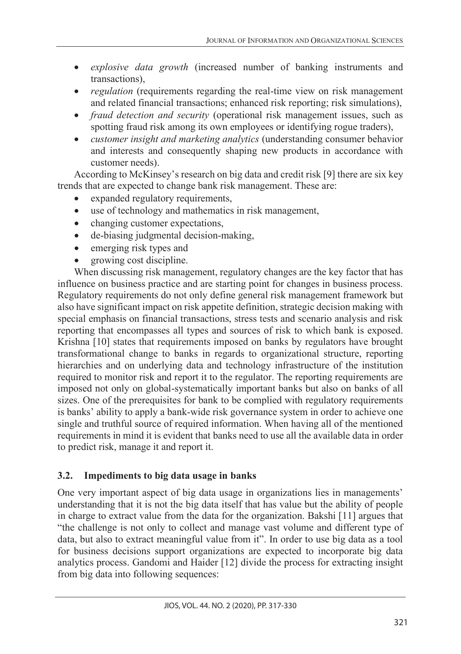- *explosive data growth* (increased number of banking instruments and transactions),
- *regulation* (requirements regarding the real-time view on risk management and related financial transactions; enhanced risk reporting; risk simulations),
- *fraud detection and security* (operational risk management issues, such as spotting fraud risk among its own employees or identifying rogue traders),
- *customer insight and marketing analytics* (understanding consumer behavior and interests and consequently shaping new products in accordance with customer needs).

According to McKinsey's research on big data and credit risk [9] there are six key trends that are expected to change bank risk management. These are:

- expanded regulatory requirements,
- use of technology and mathematics in risk management,
- changing customer expectations,
- de-biasing judgmental decision-making,
- emerging risk types and
- growing cost discipline.

When discussing risk management, regulatory changes are the key factor that has influence on business practice and are starting point for changes in business process. Regulatory requirements do not only define general risk management framework but also have significant impact on risk appetite definition, strategic decision making with special emphasis on financial transactions, stress tests and scenario analysis and risk reporting that encompasses all types and sources of risk to which bank is exposed. Krishna [10] states that requirements imposed on banks by regulators have brought transformational change to banks in regards to organizational structure, reporting hierarchies and on underlying data and technology infrastructure of the institution required to monitor risk and report it to the regulator. The reporting requirements are imposed not only on global-systematically important banks but also on banks of all sizes. One of the prerequisites for bank to be complied with regulatory requirements is banks' ability to apply a bank-wide risk governance system in order to achieve one single and truthful source of required information. When having all of the mentioned requirements in mind it is evident that banks need to use all the available data in order to predict risk, manage it and report it.

## **3.2. Impediments to big data usage in banks**

One very important aspect of big data usage in organizations lies in managements' understanding that it is not the big data itself that has value but the ability of people in charge to extract value from the data for the organization. Bakshi [11] argues that "the challenge is not only to collect and manage vast volume and different type of data, but also to extract meaningful value from it". In order to use big data as a tool for business decisions support organizations are expected to incorporate big data analytics process. Gandomi and Haider [12] divide the process for extracting insight from big data into following sequences: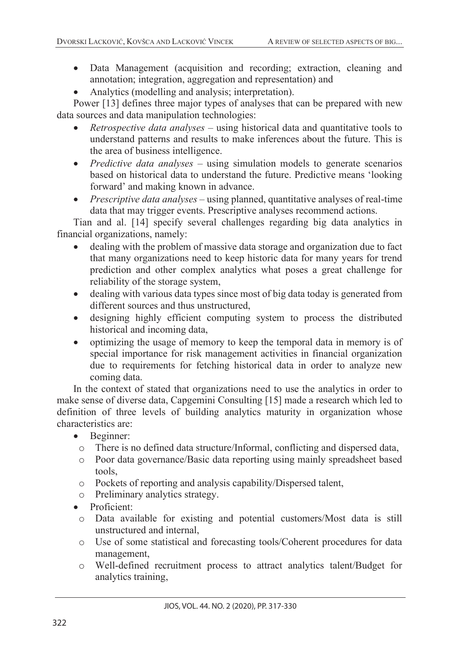- Data Management (acquisition and recording; extraction, cleaning and annotation; integration, aggregation and representation) and
- Analytics (modelling and analysis; interpretation).

Power [13] defines three major types of analyses that can be prepared with new data sources and data manipulation technologies:

- *Retrospective data analyses* using historical data and quantitative tools to understand patterns and results to make inferences about the future. This is the area of business intelligence.
- *Predictive data analyses* using simulation models to generate scenarios based on historical data to understand the future. Predictive means 'looking forward' and making known in advance.
- *Prescriptive data analyses* using planned, quantitative analyses of real-time data that may trigger events. Prescriptive analyses recommend actions.

Tian and al. [14] specify several challenges regarding big data analytics in financial organizations, namely:

- dealing with the problem of massive data storage and organization due to fact that many organizations need to keep historic data for many years for trend prediction and other complex analytics what poses a great challenge for reliability of the storage system,
- dealing with various data types since most of big data today is generated from different sources and thus unstructured,
- designing highly efficient computing system to process the distributed historical and incoming data,
- optimizing the usage of memory to keep the temporal data in memory is of special importance for risk management activities in financial organization due to requirements for fetching historical data in order to analyze new coming data.

In the context of stated that organizations need to use the analytics in order to make sense of diverse data, Capgemini Consulting [15] made a research which led to definition of three levels of building analytics maturity in organization whose characteristics are:

- Beginner:
	- o There is no defined data structure/Informal, conflicting and dispersed data,
	- o Poor data governance/Basic data reporting using mainly spreadsheet based tools,
	- o Pockets of reporting and analysis capability/Dispersed talent,
	- o Preliminary analytics strategy.
- Proficient:
	- o Data available for existing and potential customers/Most data is still unstructured and internal,
- o Use of some statistical and forecasting tools/Coherent procedures for data management,
- o Well-defined recruitment process to attract analytics talent/Budget for analytics training,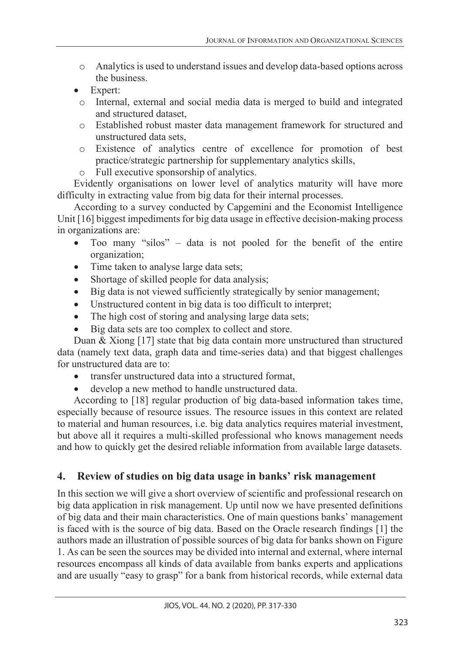- o Analytics is used to understand issues and develop data-based options across the business.
- Expert:
- o Internal, external and social media data is merged to build and integrated and structured dataset,
- o Established robust master data management framework for structured and unstructured data sets,
- o Existence of analytics centre of excellence for promotion of best practice/strategic partnership for supplementary analytics skills,
- o Full executive sponsorship of analytics.

Evidently organisations on lower level of analytics maturity will have more difficulty in extracting value from big data for their internal processes.

According to a survey conducted by Capgemini and the Economist Intelligence Unit [16] biggest impediments for big data usage in effective decision-making process in organizations are:

- Too many "silos" data is not pooled for the benefit of the entire organization;
- Time taken to analyse large data sets;
- Shortage of skilled people for data analysis;
- Big data is not viewed sufficiently strategically by senior management;
- Unstructured content in big data is too difficult to interpret;
- The high cost of storing and analysing large data sets;
- Big data sets are too complex to collect and store.

Duan & Xiong [17] state that big data contain more unstructured than structured data (namely text data, graph data and time-series data) and that biggest challenges for unstructured data are to:

- transfer unstructured data into a structured format,
- develop a new method to handle unstructured data.

According to [18] regular production of big data-based information takes time, especially because of resource issues. The resource issues in this context are related to material and human resources, i.e. big data analytics requires material investment, but above all it requires a multi-skilled professional who knows management needs and how to quickly get the desired reliable information from available large datasets.

## **4. Review of studies on big data usage in banks' risk management**

In this section we will give a short overview of scientific and professional research on big data application in risk management. Up until now we have presented definitions of big data and their main characteristics. One of main questions banks' management is faced with is the source of big data. Based on the Oracle research findings [1] the authors made an illustration of possible sources of big data for banks shown on Figure 1. As can be seen the sources may be divided into internal and external, where internal resources encompass all kinds of data available from banks experts and applications and are usually "easy to grasp" for a bank from historical records, while external data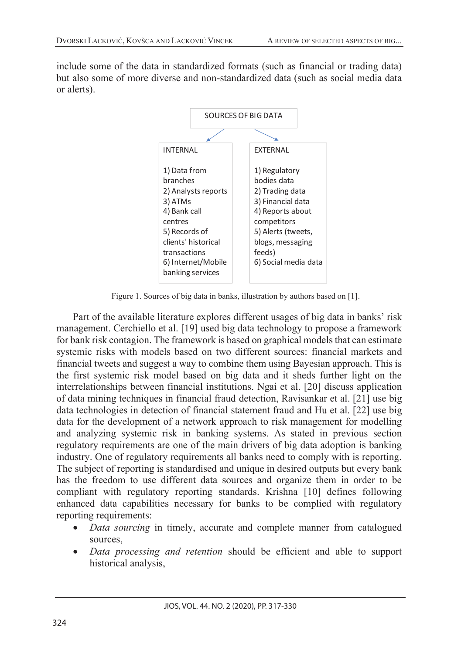include some of the data in standardized formats (such as financial or trading data) but also some of more diverse and non-standardized data (such as social media data or alerts).



Figure 1. Sources of big data in banks, illustration by authors based on [1].

Part of the available literature explores different usages of big data in banks' risk management. Cerchiello et al. [19] used big data technology to propose a framework for bank risk contagion. The framework is based on graphical models that can estimate systemic risks with models based on two different sources: financial markets and financial tweets and suggest a way to combine them using Bayesian approach. This is the first systemic risk model based on big data and it sheds further light on the interrelationships between financial institutions. Ngai et al. [20] discuss application of data mining techniques in financial fraud detection, Ravisankar et al. [21] use big data technologies in detection of financial statement fraud and Hu et al. [22] use big data for the development of a network approach to risk management for modelling and analyzing systemic risk in banking systems. As stated in previous section regulatory requirements are one of the main drivers of big data adoption is banking industry. One of regulatory requirements all banks need to comply with is reporting. The subject of reporting is standardised and unique in desired outputs but every bank has the freedom to use different data sources and organize them in order to be compliant with regulatory reporting standards. Krishna [10] defines following enhanced data capabilities necessary for banks to be complied with regulatory reporting requirements:

- *Data sourcing* in timely, accurate and complete manner from catalogued sources,
- *Data processing and retention* should be efficient and able to support historical analysis,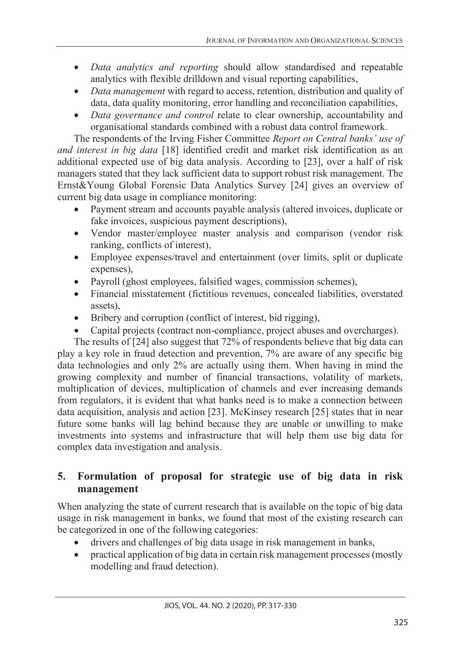- *Data analytics and reporting* should allow standardised and repeatable analytics with flexible drilldown and visual reporting capabilities,
- *Data management* with regard to access, retention, distribution and quality of data, data quality monitoring, error handling and reconciliation capabilities,
- *Data governance and control* relate to clear ownership, accountability and organisational standards combined with a robust data control framework.

The respondents of the Irving Fisher Committee *Report on Central banks' use of and interest in big data* [18] identified credit and market risk identification as an additional expected use of big data analysis. According to [23], over a half of risk managers stated that they lack sufficient data to support robust risk management. The Ernst&Young Global Forensic Data Analytics Survey [24] gives an overview of current big data usage in compliance monitoring:

- Payment stream and accounts payable analysis (altered invoices, duplicate or fake invoices, suspicious payment descriptions),
- Vendor master/employee master analysis and comparison (vendor risk ranking, conflicts of interest),
- Employee expenses/travel and entertainment (over limits, split or duplicate expenses),
- Payroll (ghost employees, falsified wages, commission schemes),
- Financial misstatement (fictitious revenues, concealed liabilities, overstated assets),
- Bribery and corruption (conflict of interest, bid rigging),
- Capital projects (contract non-compliance, project abuses and overcharges).

The results of [24] also suggest that 72% of respondents believe that big data can play a key role in fraud detection and prevention, 7% are aware of any specific big data technologies and only 2% are actually using them. When having in mind the growing complexity and number of financial transactions, volatility of markets, multiplication of devices, multiplication of channels and ever increasing demands from regulators, it is evident that what banks need is to make a connection between data acquisition, analysis and action [23]. McKinsey research [25] states that in near future some banks will lag behind because they are unable or unwilling to make investments into systems and infrastructure that will help them use big data for complex data investigation and analysis.

## **5. Formulation of proposal for strategic use of big data in risk management**

When analyzing the state of current research that is available on the topic of big data usage in risk management in banks, we found that most of the existing research can be categorized in one of the following categories:

- drivers and challenges of big data usage in risk management in banks,
- practical application of big data in certain risk management processes (mostly modelling and fraud detection).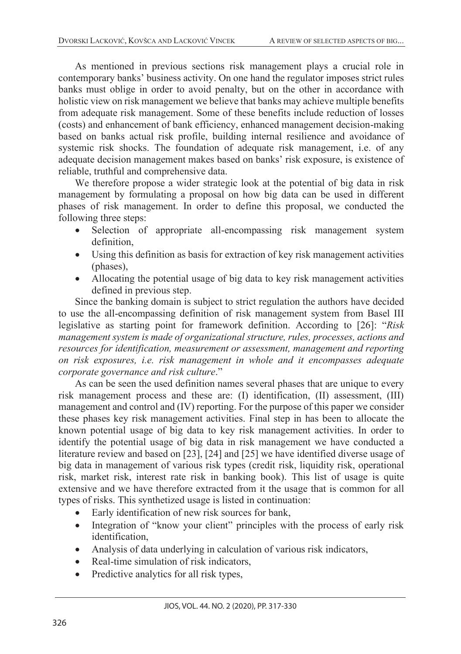As mentioned in previous sections risk management plays a crucial role in contemporary banks' business activity. On one hand the regulator imposes strict rules banks must oblige in order to avoid penalty, but on the other in accordance with holistic view on risk management we believe that banks may achieve multiple benefits from adequate risk management. Some of these benefits include reduction of losses (costs) and enhancement of bank efficiency, enhanced management decision-making based on banks actual risk profile, building internal resilience and avoidance of systemic risk shocks. The foundation of adequate risk management, i.e. of any adequate decision management makes based on banks' risk exposure, is existence of reliable, truthful and comprehensive data.

We therefore propose a wider strategic look at the potential of big data in risk management by formulating a proposal on how big data can be used in different phases of risk management. In order to define this proposal, we conducted the following three steps:

- Selection of appropriate all-encompassing risk management system definition,
- Using this definition as basis for extraction of key risk management activities (phases),
- Allocating the potential usage of big data to key risk management activities defined in previous step.

Since the banking domain is subject to strict regulation the authors have decided to use the all-encompassing definition of risk management system from Basel III legislative as starting point for framework definition. According to [26]: "*Risk management system is made of organizational structure, rules, processes, actions and resources for identification, measurement or assessment, management and reporting on risk exposures, i.e. risk management in whole and it encompasses adequate corporate governance and risk culture*."

As can be seen the used definition names several phases that are unique to every risk management process and these are: (I) identification, (II) assessment, (III) management and control and (IV) reporting. For the purpose of this paper we consider these phases key risk management activities. Final step in has been to allocate the known potential usage of big data to key risk management activities. In order to identify the potential usage of big data in risk management we have conducted a literature review and based on [23], [24] and [25] we have identified diverse usage of big data in management of various risk types (credit risk, liquidity risk, operational risk, market risk, interest rate risk in banking book). This list of usage is quite extensive and we have therefore extracted from it the usage that is common for all types of risks. This synthetized usage is listed in continuation:

- Early identification of new risk sources for bank,
- Integration of "know your client" principles with the process of early risk identification,
- Analysis of data underlying in calculation of various risk indicators,
- Real-time simulation of risk indicators,
- Predictive analytics for all risk types,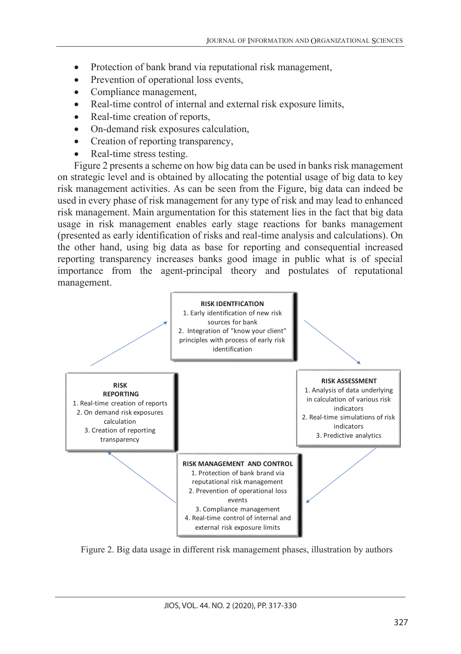- Protection of bank brand via reputational risk management,
- Prevention of operational loss events,
- Compliance management,
- Real-time control of internal and external risk exposure limits,
- Real-time creation of reports,
- On-demand risk exposures calculation,
- Creation of reporting transparency,
- Real-time stress testing.

Figure 2 presents a scheme on how big data can be used in banks risk management on strategic level and is obtained by allocating the potential usage of big data to key risk management activities. As can be seen from the Figure, big data can indeed be used in every phase of risk management for any type of risk and may lead to enhanced risk management. Main argumentation for this statement lies in the fact that big data usage in risk management enables early stage reactions for banks management (presented as early identification of risks and real-time analysis and calculations). On the other hand, using big data as base for reporting and consequential increased reporting transparency increases banks good image in public what is of special importance from the agent-principal theory and postulates of reputational management.



Figure 2. Big data usage in different risk management phases, illustration by authors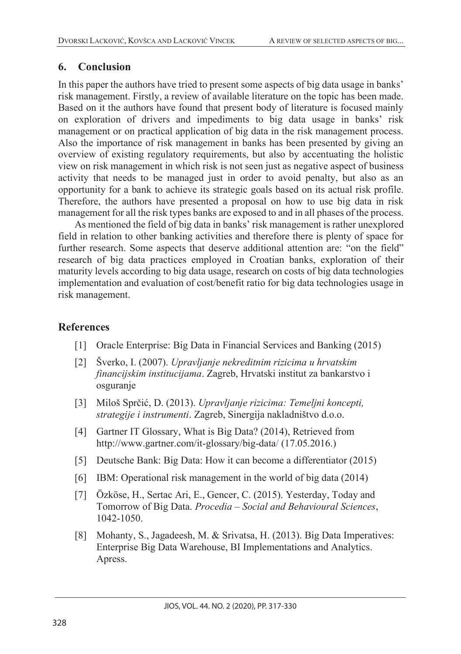## **6. Conclusion**

In this paper the authors have tried to present some aspects of big data usage in banks' risk management. Firstly, a review of available literature on the topic has been made. Based on it the authors have found that present body of literature is focused mainly on exploration of drivers and impediments to big data usage in banks' risk management or on practical application of big data in the risk management process. Also the importance of risk management in banks has been presented by giving an overview of existing regulatory requirements, but also by accentuating the holistic view on risk management in which risk is not seen just as negative aspect of business activity that needs to be managed just in order to avoid penalty, but also as an opportunity for a bank to achieve its strategic goals based on its actual risk profile. Therefore, the authors have presented a proposal on how to use big data in risk management for all the risk types banks are exposed to and in all phases of the process.

As mentioned the field of big data in banks' risk management is rather unexplored field in relation to other banking activities and therefore there is plenty of space for further research. Some aspects that deserve additional attention are: "on the field" research of big data practices employed in Croatian banks, exploration of their maturity levels according to big data usage, research on costs of big data technologies implementation and evaluation of cost/benefit ratio for big data technologies usage in risk management.

## **References**

- [1] Oracle Enterprise: Big Data in Financial Services and Banking (2015)
- [2] Šverko, I. (2007). *Upravljanje nekreditnim rizicima u hrvatskim financijskim institucijama*. Zagreb, Hrvatski institut za bankarstvo i osguranje
- [3] Miloš Sprčić, D. (2013). *Upravljanje rizicima: Temeljni koncepti, strategije i instrumenti*. Zagreb, Sinergija nakladništvo d.o.o.
- [4] Gartner IT Glossary, What is Big Data? (2014), Retrieved from http://www.gartner.com/it-glossary/big-data/ (17.05.2016.)
- [5] Deutsche Bank: Big Data: How it can become a differentiator (2015)
- [6] IBM: Operational risk management in the world of big data (2014)
- [7] Özköse, H., Sertac Ari, E., Gencer, C. (2015). Yesterday, Today and Tomorrow of Big Data. *Procedia – Social and Behavioural Sciences*, 1042-1050.
- [8] Mohanty, S., Jagadeesh, M. & Srivatsa, H. (2013). Big Data Imperatives: Enterprise Big Data Warehouse, BI Implementations and Analytics. Apress.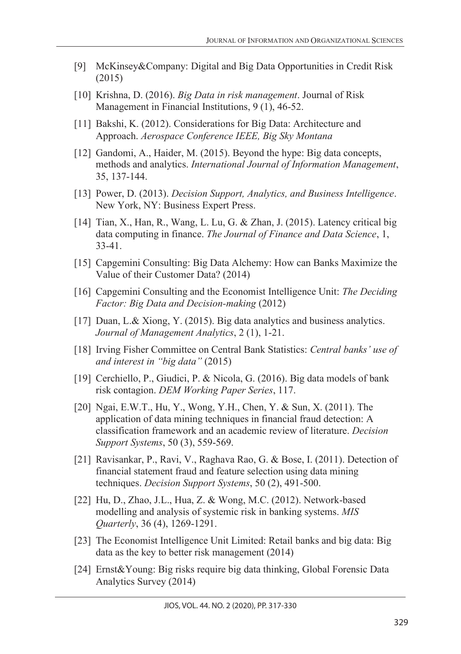- [9] McKinsey&Company: Digital and Big Data Opportunities in Credit Risk (2015)
- [10] Krishna, D. (2016). *Big Data in risk management*. Journal of Risk Management in Financial Institutions, 9 (1), 46-52.
- [11] Bakshi, K. (2012). Considerations for Big Data: Architecture and Approach. *Aerospace Conference IEEE, Big Sky Montana*
- [12] Gandomi, A., Haider, M. (2015). Beyond the hype: Big data concepts, methods and analytics. *International Journal of Information Management*, 35, 137-144.
- [13] Power, D. (2013). *Decision Support, Analytics, and Business Intelligence*. New York, NY: Business Expert Press.
- [14] Tian, X., Han, R., Wang, L. Lu, G. & Zhan, J. (2015). Latency critical big data computing in finance. *The Journal of Finance and Data Science*, 1, 33-41.
- [15] Capgemini Consulting: Big Data Alchemy: How can Banks Maximize the Value of their Customer Data? (2014)
- [16] Capgemini Consulting and the Economist Intelligence Unit: *The Deciding Factor: Big Data and Decision-making* (2012)
- [17] Duan, L.& Xiong, Y. (2015). Big data analytics and business analytics. *Journal of Management Analytics*, 2 (1), 1-21.
- [18] Irving Fisher Committee on Central Bank Statistics: *Central banks' use of and interest in "big data"* (2015)
- [19] Cerchiello, P., Giudici, P. & Nicola, G. (2016). Big data models of bank risk contagion. *DEM Working Paper Series*, 117.
- [20] Ngai, E.W.T., Hu, Y., Wong, Y.H., Chen, Y. & Sun, X. (2011). The application of data mining techniques in financial fraud detection: A classification framework and an academic review of literature. *Decision Support Systems*, 50 (3), 559-569.
- [21] Ravisankar, P., Ravi, V., Raghava Rao, G. & Bose, I. (2011). Detection of financial statement fraud and feature selection using data mining techniques. *Decision Support Systems*, 50 (2), 491-500.
- [22] Hu, D., Zhao, J.L., Hua, Z. & Wong, M.C. (2012). Network-based modelling and analysis of systemic risk in banking systems. *MIS Quarterly*, 36 (4), 1269-1291.
- [23] The Economist Intelligence Unit Limited: Retail banks and big data: Big data as the key to better risk management (2014)
- [24] Ernst&Young: Big risks require big data thinking, Global Forensic Data Analytics Survey (2014)